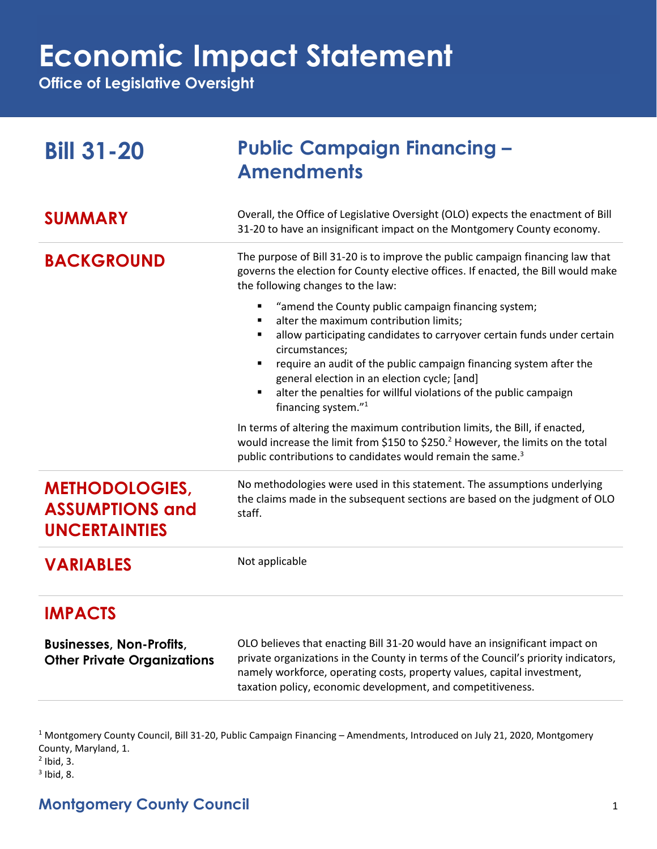## **Economic Impact Statement**

**Office of Legislative Oversight**

| <b>Bill 31-20</b>                                                       | <b>Public Campaign Financing -</b><br><b>Amendments</b>                                                                                                                                                                                                                                                                                                                                                                  |
|-------------------------------------------------------------------------|--------------------------------------------------------------------------------------------------------------------------------------------------------------------------------------------------------------------------------------------------------------------------------------------------------------------------------------------------------------------------------------------------------------------------|
| <b>SUMMARY</b>                                                          | Overall, the Office of Legislative Oversight (OLO) expects the enactment of Bill<br>31-20 to have an insignificant impact on the Montgomery County economy.                                                                                                                                                                                                                                                              |
| <b>BACKGROUND</b>                                                       | The purpose of Bill 31-20 is to improve the public campaign financing law that<br>governs the election for County elective offices. If enacted, the Bill would make<br>the following changes to the law:                                                                                                                                                                                                                 |
|                                                                         | "amend the County public campaign financing system;<br>alter the maximum contribution limits;<br>allow participating candidates to carryover certain funds under certain<br>circumstances;<br>require an audit of the public campaign financing system after the<br>general election in an election cycle; [and]<br>alter the penalties for willful violations of the public campaign<br>financing system." <sup>1</sup> |
|                                                                         | In terms of altering the maximum contribution limits, the Bill, if enacted,<br>would increase the limit from \$150 to \$250. <sup>2</sup> However, the limits on the total<br>public contributions to candidates would remain the same. <sup>3</sup>                                                                                                                                                                     |
| <b>METHODOLOGIES,</b><br><b>ASSUMPTIONS and</b><br><b>UNCERTAINTIES</b> | No methodologies were used in this statement. The assumptions underlying<br>the claims made in the subsequent sections are based on the judgment of OLO<br>staff.                                                                                                                                                                                                                                                        |
| <b>VARIABLES</b>                                                        | Not applicable                                                                                                                                                                                                                                                                                                                                                                                                           |
| <b>IMPACTS</b>                                                          |                                                                                                                                                                                                                                                                                                                                                                                                                          |
| <b>Businesses, Non-Profits,</b><br><b>Other Private Organizations</b>   | OLO believes that enacting Bill 31-20 would have an insignificant impact on<br>private organizations in the County in terms of the Council's priority indicators,<br>namely workforce, operating costs, property values, capital investment,<br>taxation policy, economic development, and competitiveness.                                                                                                              |

<sup>1</sup> Montgomery County Council, Bill 31-20, Public Campaign Financing – Amendments, Introduced on July 21, 2020, Montgomery County, Maryland, 1.

 $<sup>2</sup>$  Ibid, 3.</sup>

 $3$  Ibid, 8.